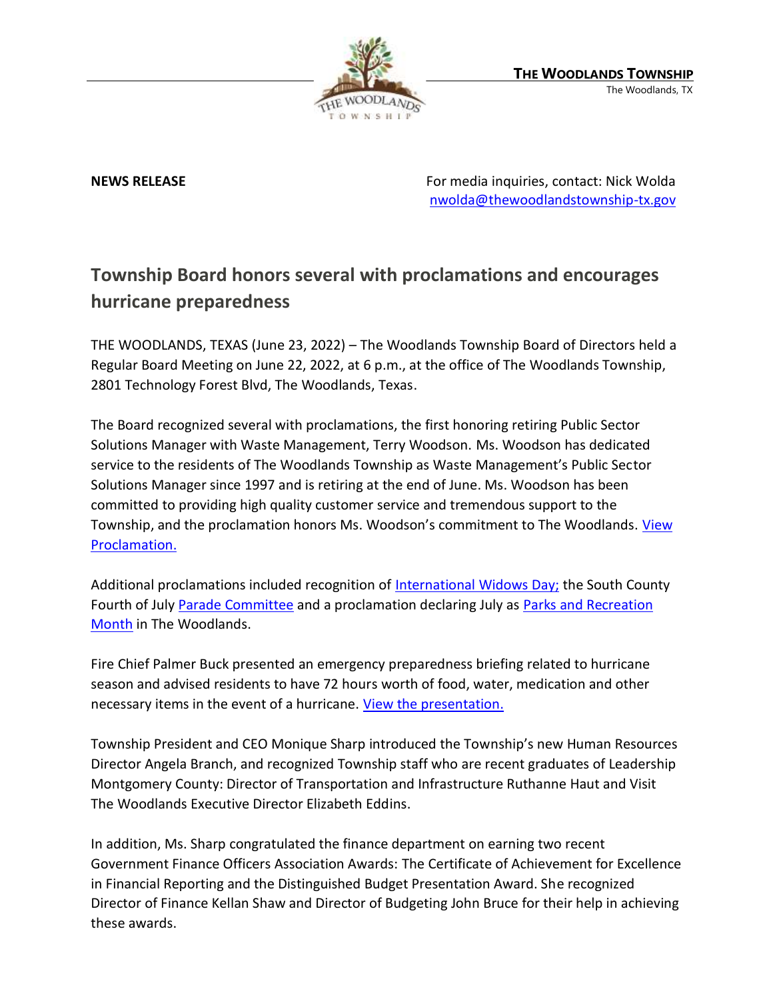

**NEWS RELEASE** For media inquiries, contact: Nick Wolda **NEWS** RELEASE [nwolda@thewoodlandstownship-tx.gov](mailto:nwolda@thewoodlandstownship-tx.gov)

## **Township Board honors several with proclamations and encourages hurricane preparedness**

THE WOODLANDS, TEXAS (June 23, 2022) – The Woodlands Township Board of Directors held a Regular Board Meeting on June 22, 2022, at 6 p.m., at the office of The Woodlands Township, 2801 Technology Forest Blvd, The Woodlands, Texas.

The Board recognized several with proclamations, the first honoring retiring Public Sector Solutions Manager with Waste Management, Terry Woodson. Ms. Woodson has dedicated service to the residents of The Woodlands Township as Waste Management's Public Sector Solutions Manager since 1997 and is retiring at the end of June. Ms. Woodson has been committed to providing high quality customer service and tremendous support to the Township, and the proclamation honors Ms. Woodson's commitment to The Woodlands. View [Proclamation.](https://destinyhosted.com/woodldocs/2022/BODREG/20220622_3860/5072_Terry_Woodson_Day_Proclamation_Rev1_6.16.pdf)

Additional proclamations included recognition of [International Widows Day;](https://destinyhosted.com/woodldocs/2022/BODREG/20220622_3860/5051_International_Widows_Day_Rev2.pdf) the South County Fourth of July [Parade Committee](https://destinyhosted.com/woodldocs/2022/BODREG/20220622_3860/4909_South_County_4th_of_July_Parade_Committee_Day_June_22_2022_Rev2.pdf) and a proclamation declaring July as [Parks and Recreation](https://destinyhosted.com/woodldocs/2022/BODREG/20220622_3860/4907_Parks_and_Rec_Month_Proc_2022_Rev3.pdf)  [Month](https://destinyhosted.com/woodldocs/2022/BODREG/20220622_3860/4907_Parks_and_Rec_Month_Proc_2022_Rev3.pdf) in The Woodlands.

Fire Chief Palmer Buck presented an emergency preparedness briefing related to hurricane season and advised residents to have 72 hours worth of food, water, medication and other necessary items in the event of a hurricane. [View the presentation.](https://www.thewoodlandstownship-tx.gov/Archive.aspx?ADID=12409)

Township President and CEO Monique Sharp introduced the Township's new Human Resources Director Angela Branch, and recognized Township staff who are recent graduates of Leadership Montgomery County: Director of Transportation and Infrastructure Ruthanne Haut and Visit The Woodlands Executive Director Elizabeth Eddins.

In addition, Ms. Sharp congratulated the finance department on earning two recent Government Finance Officers Association Awards: The Certificate of Achievement for Excellence in Financial Reporting and the Distinguished Budget Presentation Award. She recognized Director of Finance Kellan Shaw and Director of Budgeting John Bruce for their help in achieving these awards.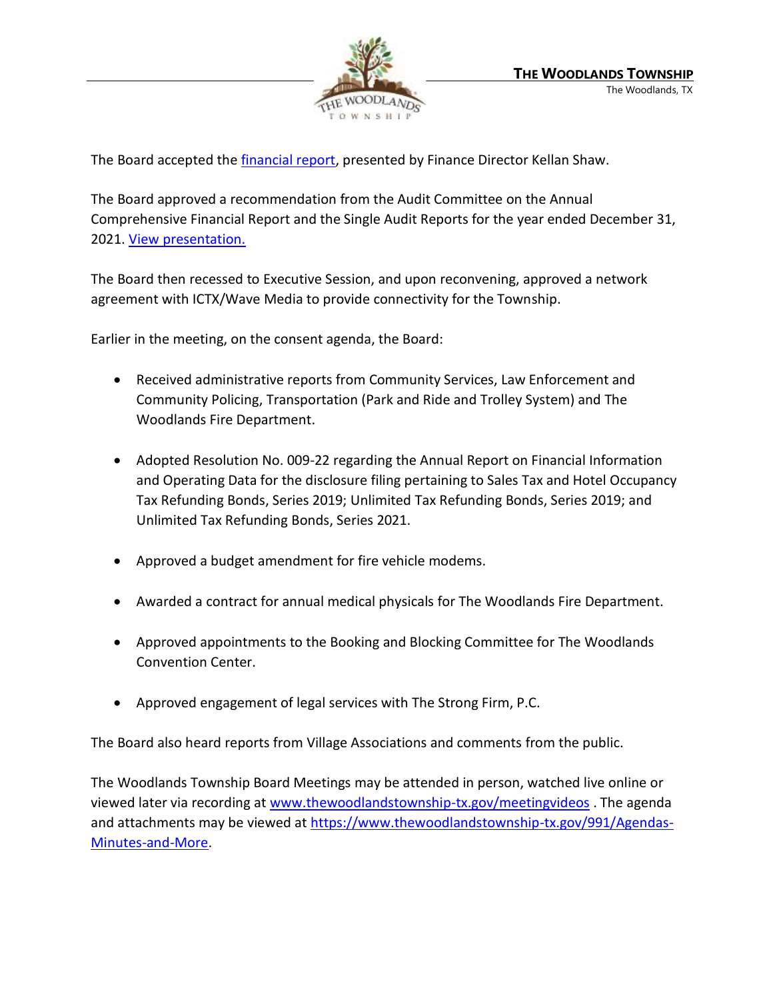

The Board accepted the *financial report*, presented by Finance Director Kellan Shaw.

The Board approved a recommendation from the Audit Committee on the Annual Comprehensive Financial Report and the Single Audit Reports for the year ended December 31, 2021. [View presentation.](https://www.thewoodlandstownship-tx.gov/Archive.aspx?ADID=12408)

The Board then recessed to Executive Session, and upon reconvening, approved a network agreement with ICTX/Wave Media to provide connectivity for the Township.

Earlier in the meeting, on the consent agenda, the Board:

- Received administrative reports from Community Services, Law Enforcement and Community Policing, Transportation (Park and Ride and Trolley System) and The Woodlands Fire Department.
- Adopted Resolution No. 009-22 regarding the Annual Report on Financial Information and Operating Data for the disclosure filing pertaining to Sales Tax and Hotel Occupancy Tax Refunding Bonds, Series 2019; Unlimited Tax Refunding Bonds, Series 2019; and Unlimited Tax Refunding Bonds, Series 2021.
- Approved a budget amendment for fire vehicle modems.
- Awarded a contract for annual medical physicals for The Woodlands Fire Department.
- Approved appointments to the Booking and Blocking Committee for The Woodlands Convention Center.
- Approved engagement of legal services with The Strong Firm, P.C.

The Board also heard reports from Village Associations and comments from the public.

The Woodlands Township Board Meetings may be attended in person, watched live online or viewed later via recording a[t www.thewoodlandstownship-tx.gov/meetingvideos](http://www.thewoodlandstownship-tx.gov/meetingvideos). The agenda and attachments may be viewed at [https://www.thewoodlandstownship-tx.gov/991/Agendas-](https://www.thewoodlandstownship-tx.gov/991/Agendas-Minutes-and-More)[Minutes-and-More.](https://www.thewoodlandstownship-tx.gov/991/Agendas-Minutes-and-More)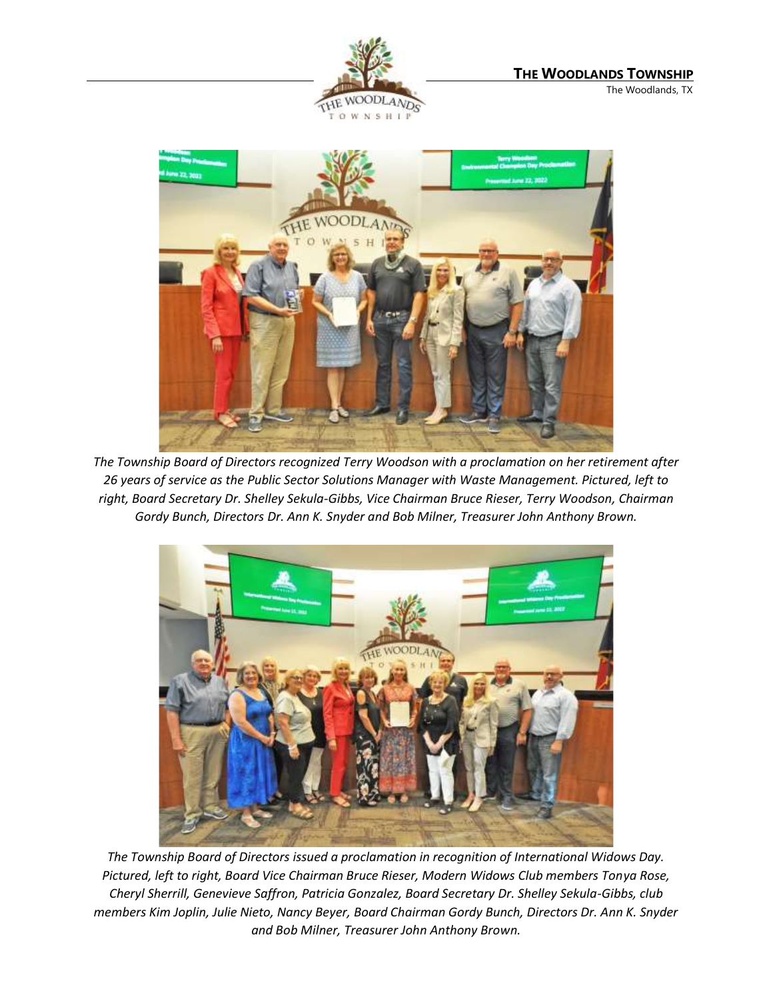



*The Township Board of Directors recognized Terry Woodson with a proclamation on her retirement after 26 years of service as the Public Sector Solutions Manager with Waste Management. Pictured, left to right, Board Secretary Dr. Shelley Sekula-Gibbs, Vice Chairman Bruce Rieser, Terry Woodson, Chairman Gordy Bunch, Directors Dr. Ann K. Snyder and Bob Milner, Treasurer John Anthony Brown.* 



*The Township Board of Directors issued a proclamation in recognition of International Widows Day. Pictured, left to right, Board Vice Chairman Bruce Rieser, Modern Widows Club members Tonya Rose, Cheryl Sherrill, Genevieve Saffron, Patricia Gonzalez, Board Secretary Dr. Shelley Sekula-Gibbs, club members Kim Joplin, Julie Nieto, Nancy Beyer, Board Chairman Gordy Bunch, Directors Dr. Ann K. Snyder and Bob Milner, Treasurer John Anthony Brown.*